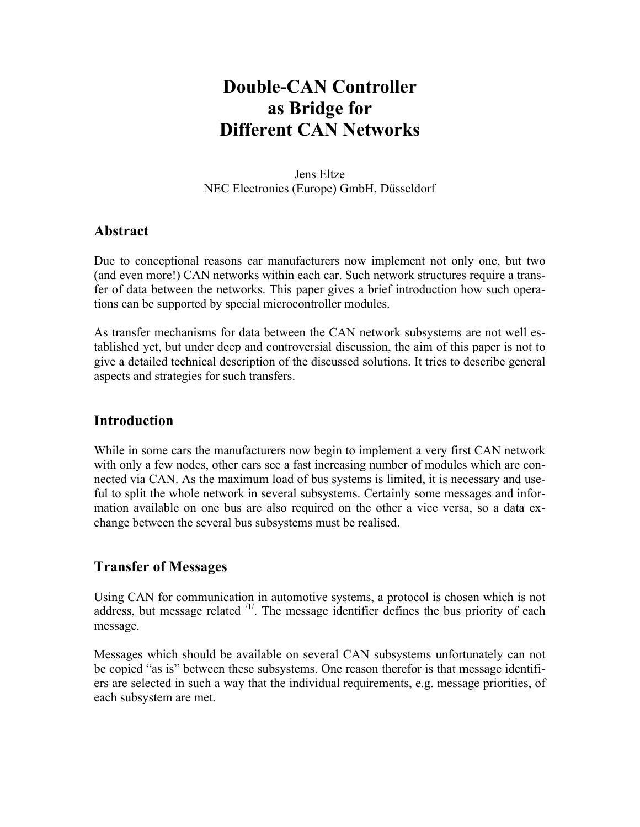# **Double-CAN Controller as Bridge for Different CAN Networks**

Jens Eltze NEC Electronics (Europe) GmbH, Düsseldorf

#### **Abstract**

Due to conceptional reasons car manufacturers now implement not only one, but two (and even more!) CAN networks within each car. Such network structures require a transfer of data between the networks. This paper gives a brief introduction how such operations can be supported by special microcontroller modules.

As transfer mechanisms for data between the CAN network subsystems are not well established yet, but under deep and controversial discussion, the aim of this paper is not to give a detailed technical description of the discussed solutions. It tries to describe general aspects and strategies for such transfers.

#### **Introduction**

While in some cars the manufacturers now begin to implement a very first CAN network with only a few nodes, other cars see a fast increasing number of modules which are connected via CAN. As the maximum load of bus systems is limited, it is necessary and useful to split the whole network in several subsystems. Certainly some messages and information available on one bus are also required on the other a vice versa, so a data exchange between the several bus subsystems must be realised.

### **Transfer of Messages**

Using CAN for communication in automotive systems, a protocol is chosen which is not address, but message related  $\frac{11}{1}$ . The message identifier defines the bus priority of each message.

Messages which should be available on several CAN subsystems unfortunately can not be copied "as is" between these subsystems. One reason therefor is that message identifiers are selected in such a way that the individual requirements, e.g. message priorities, of each subsystem are met.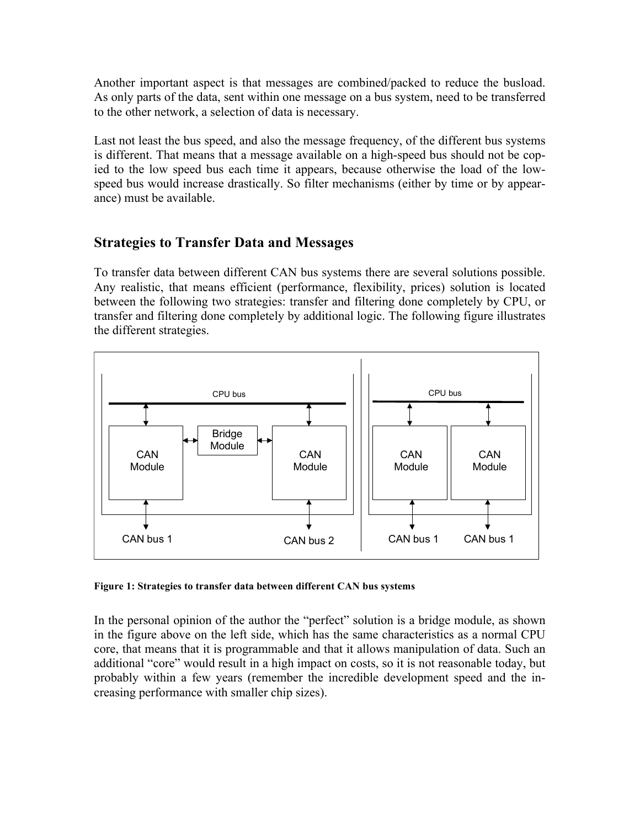Another important aspect is that messages are combined/packed to reduce the busload. As only parts of the data, sent within one message on a bus system, need to be transferred to the other network, a selection of data is necessary.

Last not least the bus speed, and also the message frequency, of the different bus systems is different. That means that a message available on a high-speed bus should not be copied to the low speed bus each time it appears, because otherwise the load of the lowspeed bus would increase drastically. So filter mechanisms (either by time or by appearance) must be available.

### **Strategies to Transfer Data and Messages**

To transfer data between different CAN bus systems there are several solutions possible. Any realistic, that means efficient (performance, flexibility, prices) solution is located between the following two strategies: transfer and filtering done completely by CPU, or transfer and filtering done completely by additional logic. The following figure illustrates the different strategies.



**Figure 1: Strategies to transfer data between different CAN bus systems**

In the personal opinion of the author the "perfect" solution is a bridge module, as shown in the figure above on the left side, which has the same characteristics as a normal CPU core, that means that it is programmable and that it allows manipulation of data. Such an additional "core" would result in a high impact on costs, so it is not reasonable today, but probably within a few years (remember the incredible development speed and the increasing performance with smaller chip sizes).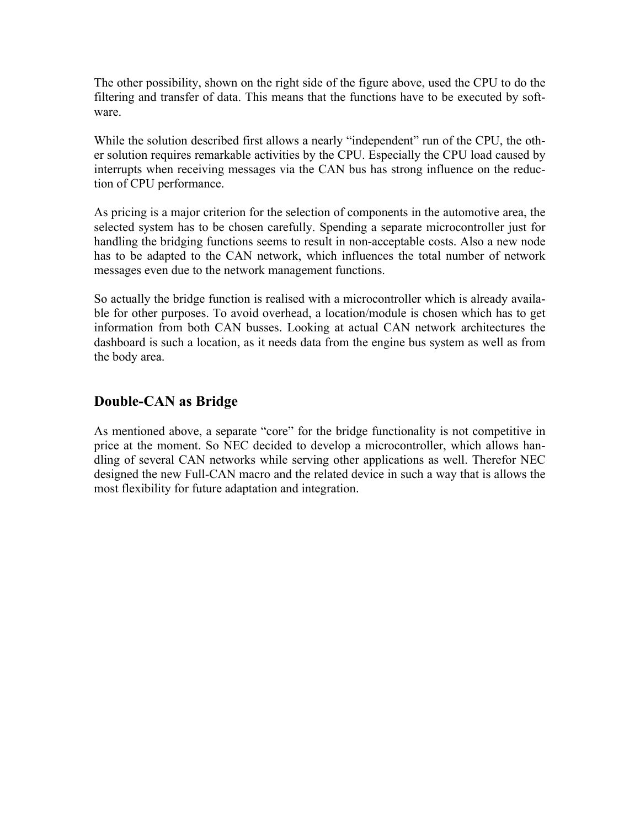The other possibility, shown on the right side of the figure above, used the CPU to do the filtering and transfer of data. This means that the functions have to be executed by software.

While the solution described first allows a nearly "independent" run of the CPU, the other solution requires remarkable activities by the CPU. Especially the CPU load caused by interrupts when receiving messages via the CAN bus has strong influence on the reduction of CPU performance.

As pricing is a major criterion for the selection of components in the automotive area, the selected system has to be chosen carefully. Spending a separate microcontroller just for handling the bridging functions seems to result in non-acceptable costs. Also a new node has to be adapted to the CAN network, which influences the total number of network messages even due to the network management functions.

So actually the bridge function is realised with a microcontroller which is already available for other purposes. To avoid overhead, a location/module is chosen which has to get information from both CAN busses. Looking at actual CAN network architectures the dashboard is such a location, as it needs data from the engine bus system as well as from the body area.

## **Double-CAN as Bridge**

As mentioned above, a separate "core" for the bridge functionality is not competitive in price at the moment. So NEC decided to develop a microcontroller, which allows handling of several CAN networks while serving other applications as well. Therefor NEC designed the new Full-CAN macro and the related device in such a way that is allows the most flexibility for future adaptation and integration.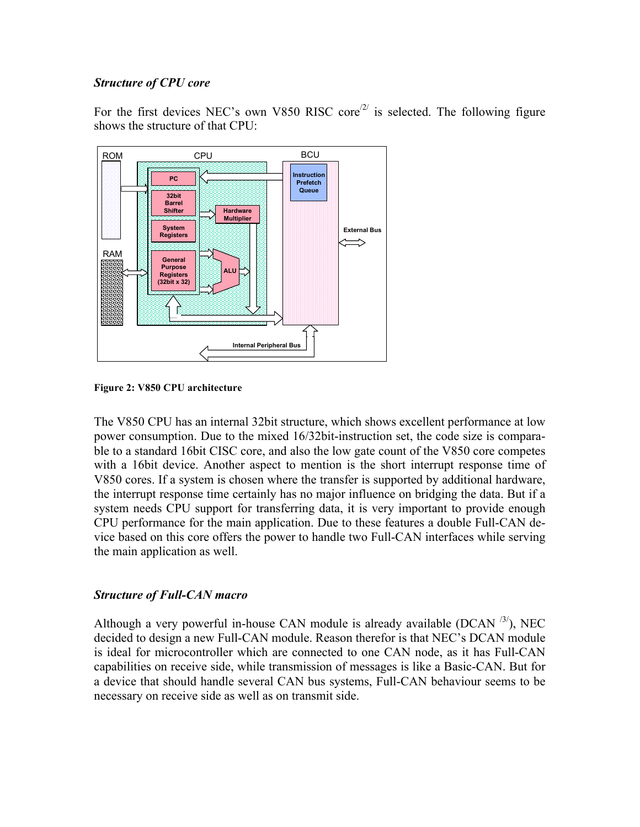#### *Structure of CPU core*

For the first devices NEC's own V850 RISC core<sup> $2/2$ </sup> is selected. The following figure shows the structure of that CPU:



**Figure 2: V850 CPU architecture**

The V850 CPU has an internal 32bit structure, which shows excellent performance at low power consumption. Due to the mixed 16/32bit-instruction set, the code size is comparable to a standard 16bit CISC core, and also the low gate count of the V850 core competes with a 16bit device. Another aspect to mention is the short interrupt response time of V850 cores. If a system is chosen where the transfer is supported by additional hardware, the interrupt response time certainly has no major influence on bridging the data. But if a system needs CPU support for transferring data, it is very important to provide enough CPU performance for the main application. Due to these features a double Full-CAN device based on this core offers the power to handle two Full-CAN interfaces while serving the main application as well.

#### *Structure of Full-CAN macro*

Although a very powerful in-house CAN module is already available (DCAN  $^{3/}$ ), NEC decided to design a new Full-CAN module. Reason therefor is that NEC's DCAN module is ideal for microcontroller which are connected to one CAN node, as it has Full-CAN capabilities on receive side, while transmission of messages is like a Basic-CAN. But for a device that should handle several CAN bus systems, Full-CAN behaviour seems to be necessary on receive side as well as on transmit side.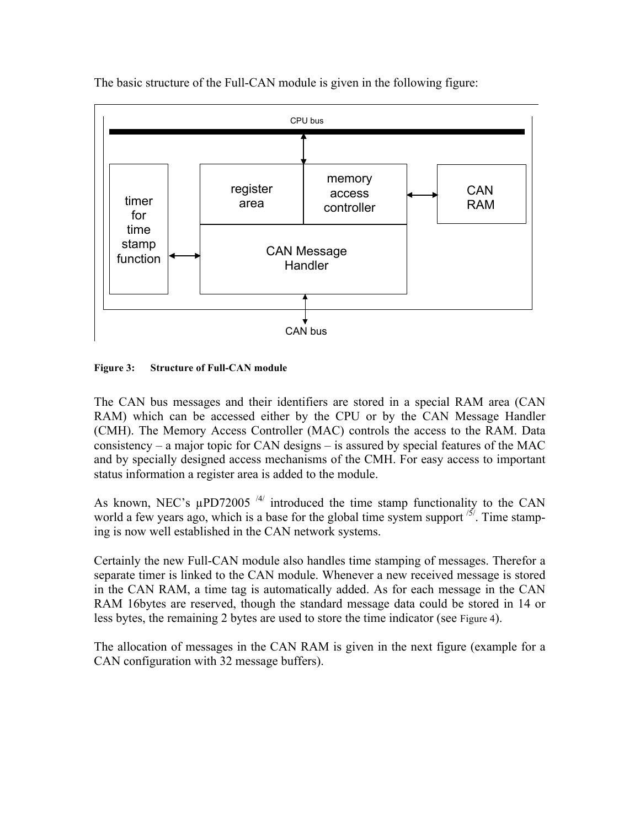

The basic structure of the Full-CAN module is given in the following figure:

#### **Figure 3: Structure of Full-CAN module**

The CAN bus messages and their identifiers are stored in a special RAM area (CAN RAM) which can be accessed either by the CPU or by the CAN Message Handler (CMH). The Memory Access Controller (MAC) controls the access to the RAM. Data consistency – a major topic for CAN designs – is assured by special features of the MAC and by specially designed access mechanisms of the CMH. For easy access to important status information a register area is added to the module.

As known, NEC's  $\mu$ PD72005<sup>/4/</sup> introduced the time stamp functionality to the CAN world a few years ago, which is a base for the global time system support  $\frac{15}{5}$ . Time stamping is now well established in the CAN network systems.

Certainly the new Full-CAN module also handles time stamping of messages. Therefor a separate timer is linked to the CAN module. Whenever a new received message is stored in the CAN RAM, a time tag is automatically added. As for each message in the CAN RAM 16bytes are reserved, though the standard message data could be stored in 14 or less bytes, the remaining 2 bytes are used to store the time indicator (see Figure 4).

The allocation of messages in the CAN RAM is given in the next figure (example for a CAN configuration with 32 message buffers).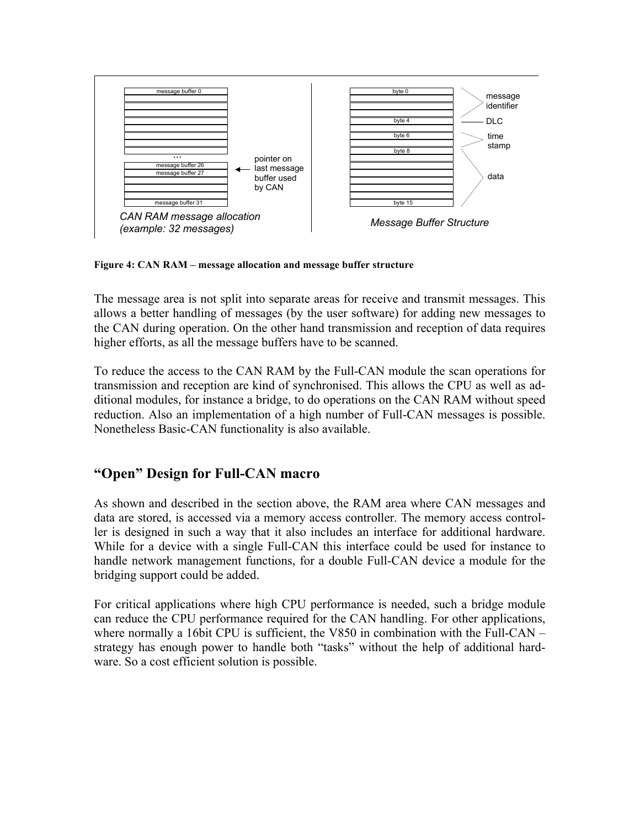

**Figure 4: CAN RAM – message allocation and message buffer structure**

The message area is not split into separate areas for receive and transmit messages. This allows a better handling of messages (by the user software) for adding new messages to the CAN during operation. On the other hand transmission and reception of data requires higher efforts, as all the message buffers have to be scanned.

To reduce the access to the CAN RAM by the Full-CAN module the scan operations for transmission and reception are kind of synchronised. This allows the CPU as well as additional modules, for instance a bridge, to do operations on the CAN RAM without speed reduction. Also an implementation of a high number of Full-CAN messages is possible. Nonetheless Basic-CAN functionality is also available.

## **"Open" Design for Full-CAN macro**

As shown and described in the section above, the RAM area where CAN messages and data are stored, is accessed via a memory access controller. The memory access controller is designed in such a way that it also includes an interface for additional hardware. While for a device with a single Full-CAN this interface could be used for instance to handle network management functions, for a double Full-CAN device a module for the bridging support could be added.

For critical applications where high CPU performance is needed, such a bridge module can reduce the CPU performance required for the CAN handling. For other applications, where normally a 16bit CPU is sufficient, the V850 in combination with the Full-CAN – strategy has enough power to handle both "tasks" without the help of additional hardware. So a cost efficient solution is possible.